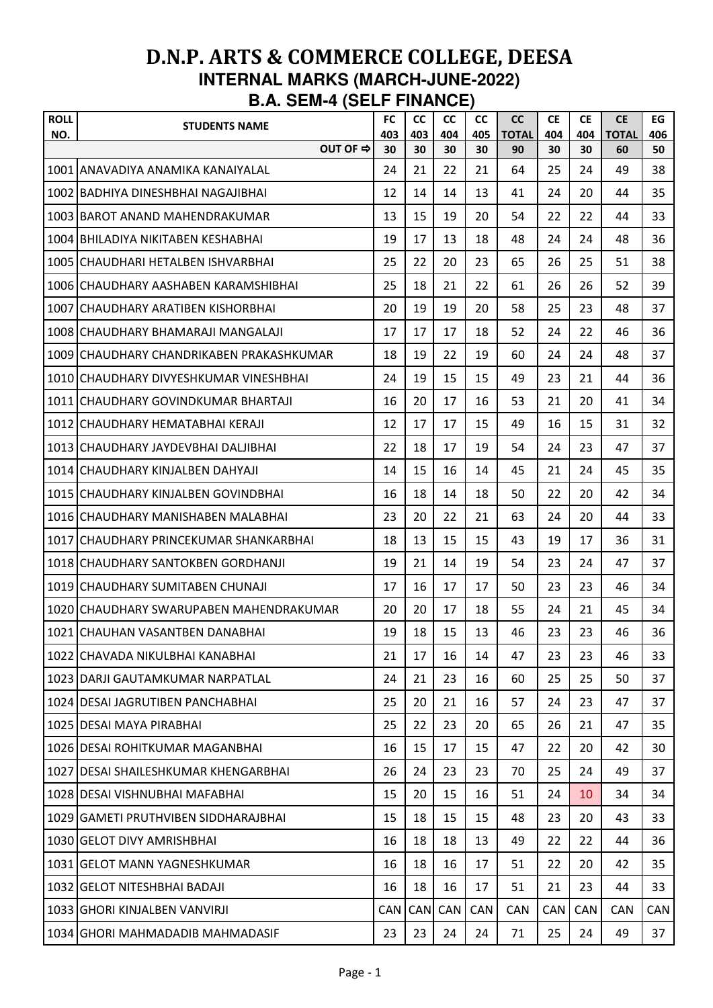| <b>ROLL</b> | <b>STUDENTS NAME</b>                     | <b>FC</b>  | <b>CC</b>  | <b>CC</b>  | <b>CC</b> | <b>CC</b>          | <b>CE</b>  | <b>CE</b>  | <b>CE</b>          | EG        |
|-------------|------------------------------------------|------------|------------|------------|-----------|--------------------|------------|------------|--------------------|-----------|
| NO.         | OUT OF ⇒                                 | 403<br>30  | 403<br>30  | 404<br>30  | 405<br>30 | <b>TOTAL</b><br>90 | 404<br>30  | 404<br>30  | <b>TOTAL</b><br>60 | 406<br>50 |
|             | 1001 ANAVADIYA ANAMIKA KANAIYALAL        | 24         | 21         | 22         | 21        | 64                 | 25         | 24         | 49                 | 38        |
|             | 1002 BADHIYA DINESHBHAI NAGAJIBHAI       | 12         | 14         | 14         | 13        | 41                 | 24         | 20         | 44                 | 35        |
|             | 1003 BAROT ANAND MAHENDRAKUMAR           | 13         | 15         | 19         | 20        | 54                 | 22         | 22         | 44                 | 33        |
|             | 1004 BHILADIYA NIKITABEN KESHABHAI       | 19         | 17         | 13         | 18        | 48                 | 24         | 24         | 48                 | 36        |
|             | 1005 CHAUDHARI HETALBEN ISHVARBHAI       | 25         | 22         | 20         | 23        | 65                 | 26         | 25         | 51                 | 38        |
|             | 1006 CHAUDHARY AASHABEN KARAMSHIBHAI     | 25         | 18         | 21         | 22        | 61                 | 26         | 26         | 52                 | 39        |
|             | 1007 CHAUDHARY ARATIBEN KISHORBHAI       | 20         | 19         | 19         | 20        | 58                 | 25         | 23         | 48                 | 37        |
|             | 1008 CHAUDHARY BHAMARAJI MANGALAJI       | 17         | 17         | 17         | 18        | 52                 | 24         | 22         | 46                 | 36        |
|             | 1009 CHAUDHARY CHANDRIKABEN PRAKASHKUMAR | 18         | 19         | 22         | 19        | 60                 | 24         | 24         | 48                 | 37        |
|             | 1010 CHAUDHARY DIVYESHKUMAR VINESHBHAI   | 24         | 19         | 15         | 15        | 49                 | 23         | 21         | 44                 | 36        |
|             | 1011 ICHAUDHARY GOVINDKUMAR BHARTAJI     | 16         | 20         | 17         | 16        | 53                 | 21         | 20         | 41                 | 34        |
|             | 1012 CHAUDHARY HEMATABHAI KERAJI         | 12         | 17         | 17         | 15        | 49                 | 16         | 15         | 31                 | 32        |
|             | 1013 CHAUDHARY JAYDEVBHAI DALJIBHAI      | 22         | 18         | 17         | 19        | 54                 | 24         | 23         | 47                 | 37        |
|             | 1014 CHAUDHARY KINJALBEN DAHYAJI         | 14         | 15         | 16         | 14        | 45                 | 21         | 24         | 45                 | 35        |
|             | 1015 CHAUDHARY KINJALBEN GOVINDBHAI      | 16         | 18         | 14         | 18        | 50                 | 22         | 20         | 42                 | 34        |
|             | 1016 CHAUDHARY MANISHABEN MALABHAI       | 23         | 20         | 22         | 21        | 63                 | 24         | 20         | 44                 | 33        |
|             | 1017 CHAUDHARY PRINCEKUMAR SHANKARBHAI   | 18         | 13         | 15         | 15        | 43                 | 19         | 17         | 36                 | 31        |
|             | 1018 CHAUDHARY SANTOKBEN GORDHANJI       | 19         | 21         | 14         | 19        | 54                 | 23         | 24         | 47                 | 37        |
|             | 1019 CHAUDHARY SUMITABEN CHUNAJI         | 17         | 16         | 17         | 17        | 50                 | 23         | 23         | 46                 | 34        |
|             | 1020 CHAUDHARY SWARUPABEN MAHENDRAKUMAR  | 20         | 20         | 17         | 18        | 55                 | 24         | 21         | 45                 | 34        |
|             | 1021 CHAUHAN VASANTBEN DANABHAI          | 19         | 18         | 15         | 13        | 46                 | 23         | 23         | 46                 | 36        |
|             | 1022 CHAVADA NIKULBHAI KANABHAI          | 21         | 17         | 16         | 14        | 47                 | 23         | 23         | 46                 | 33        |
|             | 1023 DARJI GAUTAMKUMAR NARPATLAL         | 24         | 21         | 23         | 16        | 60                 | 25         | 25         | 50                 | 37        |
|             | 1024 DESAI JAGRUTIBEN PANCHABHAI         | 25         | 20         | 21         | 16        | 57                 | 24         | 23         | 47                 | 37        |
|             | 1025 DESAI MAYA PIRABHAI                 | 25         | 22         | 23         | 20        | 65                 | 26         | 21         | 47                 | 35        |
|             | 1026 DESAI ROHITKUMAR MAGANBHAI          | 16         | 15         | 17         | 15        | 47                 | 22         | 20         | 42                 | 30        |
|             | 1027 IDESAI SHAILESHKUMAR KHENGARBHAI    | 26         | 24         | 23         | 23        | 70                 | 25         | 24         | 49                 | 37        |
|             | 1028 DESAI VISHNUBHAI MAFABHAI           | 15         | 20         | 15         | 16        | 51                 | 24         | 10         | 34                 | 34        |
|             | 1029 GAMETI PRUTHVIBEN SIDDHARAJBHAI     | 15         | 18         | 15         | 15        | 48                 | 23         | 20         | 43                 | 33        |
|             | 1030 GELOT DIVY AMRISHBHAI               | 16         | 18         | 18         | 13        | 49                 | 22         | 22         | 44                 | 36        |
|             | 1031 GELOT MANN YAGNESHKUMAR             | 16         | 18         | 16         | 17        | 51                 | 22         | 20         | 42                 | 35        |
|             | 1032 GELOT NITESHBHAI BADAJI             | 16         | 18         | 16         | 17        | 51                 | 21         | 23         | 44                 | 33        |
|             | 1033 GHORI KINJALBEN VANVIRJI            | <b>CAN</b> | <b>CAN</b> | <b>CAN</b> | CAN       | CAN                | <b>CAN</b> | <b>CAN</b> | <b>CAN</b>         | CAN       |
|             | 1034 GHORI MAHMADADIB MAHMADASIF         | 23         | 23         | 24         | 24        | 71                 | 25         | 24         | 49                 | 37        |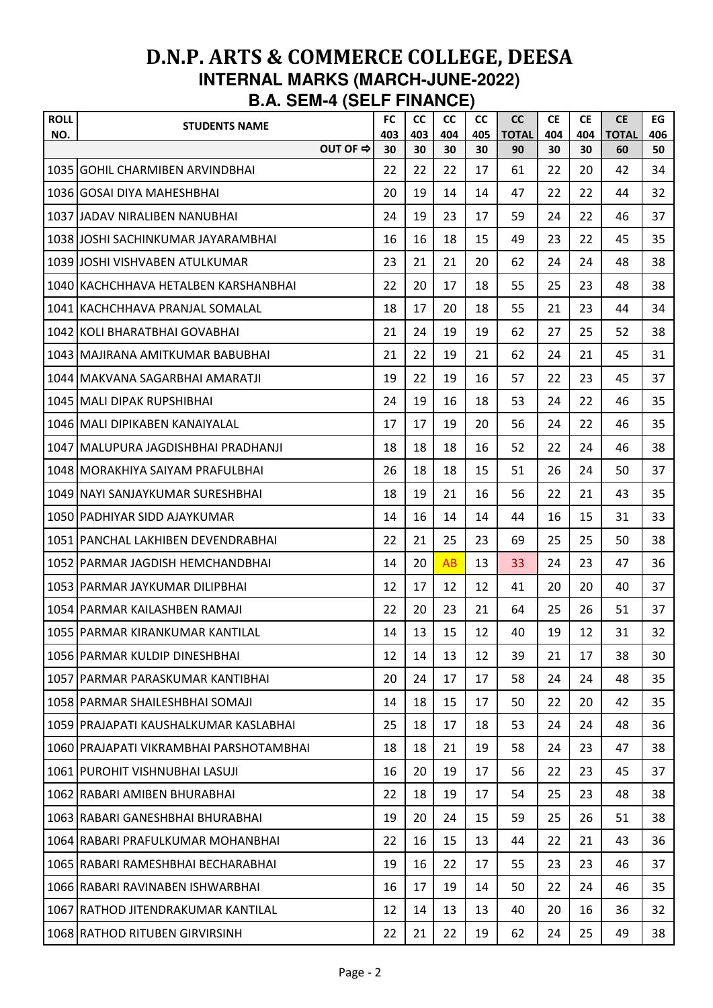| <b>ROLL</b><br>NO. | <b>STUDENTS NAME</b>                    | <b>FC</b><br>403 | cc<br>403 | <b>CC</b><br>404 | <b>CC</b><br>405 | <b>CC</b><br><b>TOTAL</b> | <b>CE</b><br>404 | <b>CE</b><br>404 | <b>CE</b><br><b>TOTAL</b> | EG<br>406 |
|--------------------|-----------------------------------------|------------------|-----------|------------------|------------------|---------------------------|------------------|------------------|---------------------------|-----------|
|                    | OUT OF ⇒                                | 30               | 30        | 30               | 30               | 90                        | 30               | 30               | 60                        | 50        |
|                    | 1035 GOHIL CHARMIBEN ARVINDBHAI         | 22               | 22        | 22               | 17               | 61                        | 22               | 20               | 42                        | 34        |
|                    | 1036 GOSAI DIYA MAHESHBHAI              | 20               | 19        | 14               | 14               | 47                        | 22               | 22               | 44                        | 32        |
|                    | 1037 JJADAV NIRALIBEN NANUBHAI          | 24               | 19        | 23               | 17               | 59                        | 24               | 22               | 46                        | 37        |
|                    | 1038 JOSHI SACHINKUMAR JAYARAMBHAI      | 16               | 16        | 18               | 15               | 49                        | 23               | 22               | 45                        | 35        |
|                    | 1039 JOSHI VISHVABEN ATULKUMAR          | 23               | 21        | 21               | 20               | 62                        | 24               | 24               | 48                        | 38        |
|                    | 1040 KACHCHHAVA HETALBEN KARSHANBHAI    | 22               | 20        | 17               | 18               | 55                        | 25               | 23               | 48                        | 38        |
|                    | 1041 KACHCHHAVA PRANJAL SOMALAL         | 18               | 17        | 20               | 18               | 55                        | 21               | 23               | 44                        | 34        |
|                    | 1042 KOLI BHARATBHAI GOVABHAI           | 21               | 24        | 19               | 19               | 62                        | 27               | 25               | 52                        | 38        |
|                    | 1043 MAJIRANA AMITKUMAR BABUBHAI        | 21               | 22        | 19               | 21               | 62                        | 24               | 21               | 45                        | 31        |
|                    | 1044   MAKVANA SAGARBHAI AMARATJI       | 19               | 22        | 19               | 16               | 57                        | 22               | 23               | 45                        | 37        |
|                    | 1045 MALI DIPAK RUPSHIBHAI              | 24               | 19        | 16               | 18               | 53                        | 24               | 22               | 46                        | 35        |
|                    | 1046 MALI DIPIKABEN KANAIYALAL          | 17               | 17        | 19               | 20               | 56                        | 24               | 22               | 46                        | 35        |
|                    | 1047   MALUPURA JAGDISHBHAI PRADHANJI   | 18               | 18        | 18               | 16               | 52                        | 22               | 24               | 46                        | 38        |
|                    | 1048 IMORAKHIYA SAIYAM PRAFULBHAI       | 26               | 18        | 18               | 15               | 51                        | 26               | 24               | 50                        | 37        |
|                    | 1049 NAYI SANJAYKUMAR SURESHBHAI        | 18               | 19        | 21               | 16               | 56                        | 22               | 21               | 43                        | 35        |
|                    | 1050 PADHIYAR SIDD AJAYKUMAR            | 14               | 16        | 14               | 14               | 44                        | 16               | 15               | 31                        | 33        |
|                    | 1051 PANCHAL LAKHIBEN DEVENDRABHAI      | 22               | 21        | 25               | 23               | 69                        | 25               | 25               | 50                        | 38        |
|                    | 1052 PARMAR JAGDISH HEMCHANDBHAI        | 14               | 20        | AB               | 13               | 33                        | 24               | 23               | 47                        | 36        |
|                    | 1053   PARMAR JAYKUMAR DILIPBHAI        | 12               | 17        | 12               | 12               | 41                        | 20               | 20               | 40                        | 37        |
|                    | 1054 PARMAR KAILASHBEN RAMAJI           | 22               | 20        | 23               | 21               | 64                        | 25               | 26               | 51                        | 37        |
|                    | 1055 PARMAR KIRANKUMAR KANTILAL         | 14               | 13        | 15               | 12               | 40                        | 19               | 12               | 31                        | 32        |
|                    | 1056 PARMAR KULDIP DINESHBHAI           | 12               | 14        | 13               | 12               | 39                        | 21               | 17               | 38                        | 30        |
|                    | 1057 PARMAR PARASKUMAR KANTIBHAI        | 20               | 24        | 17               | 17               | 58                        | 24               | 24               | 48                        | 35        |
|                    | 1058 PARMAR SHAILESHBHAI SOMAJI         | 14               | 18        | 15               | 17               | 50                        | 22               | 20               | 42                        | 35        |
|                    | 1059 PRAJAPATI KAUSHALKUMAR KASLABHAI   | 25               | 18        | 17               | 18               | 53                        | 24               | 24               | 48                        | 36        |
|                    | 1060 PRAJAPATI VIKRAMBHAI PARSHOTAMBHAI | 18               | 18        | 21               | 19               | 58                        | 24               | 23               | 47                        | 38        |
|                    | 1061 PUROHIT VISHNUBHAI LASUJI          | 16               | 20        | 19               | 17               | 56                        | 22               | 23               | 45                        | 37        |
|                    | 1062 RABARI AMIBEN BHURABHAI            | 22               | 18        | 19               | 17               | 54                        | 25               | 23               | 48                        | 38        |
|                    | 1063 RABARI GANESHBHAI BHURABHAI        | 19               | 20        | 24               | 15               | 59                        | 25               | 26               | 51                        | 38        |
|                    | 1064 IRABARI PRAFULKUMAR MOHANBHAI      | 22               | 16        | 15               | 13               | 44                        | 22               | 21               | 43                        | 36        |
|                    | 1065 RABARI RAMESHBHAI BECHARABHAI      | 19               | 16        | 22               | 17               | 55                        | 23               | 23               | 46                        | 37        |
|                    | 1066 RABARI RAVINABEN ISHWARBHAI        | 16               | 17        | 19               | 14               | 50                        | 22               | 24               | 46                        | 35        |
|                    | 1067 RATHOD JITENDRAKUMAR KANTILAL      | 12               | 14        | 13               | 13               | 40                        | 20               | 16               | 36                        | 32        |
|                    | 1068 RATHOD RITUBEN GIRVIRSINH          | 22               | 21        | 22               | 19               | 62                        | 24               | 25               | 49                        | 38        |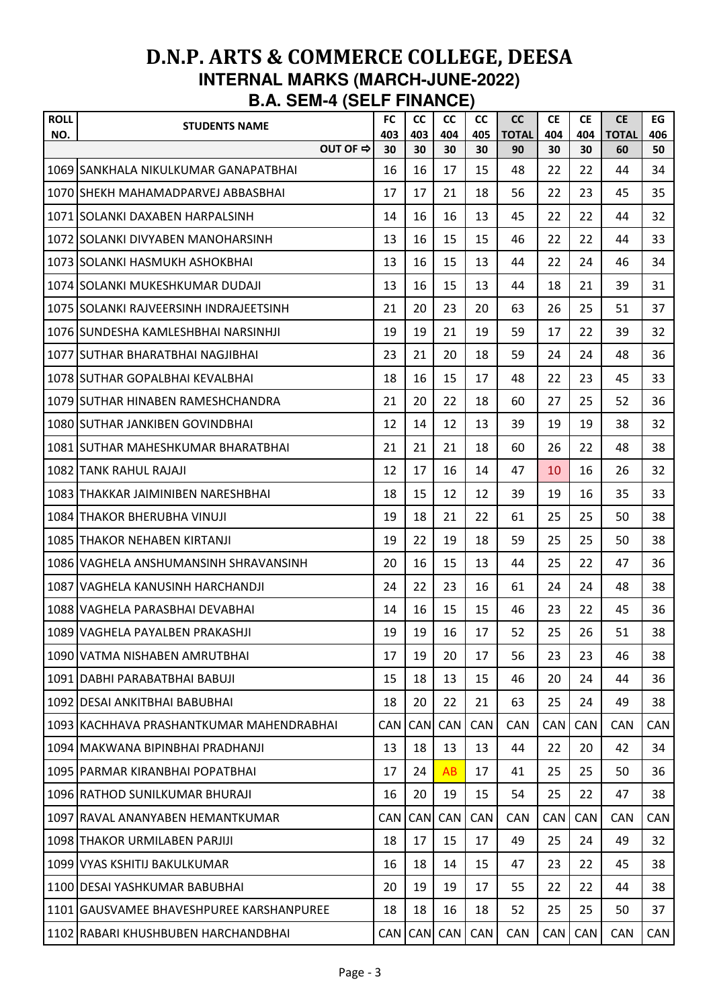| <b>ROLL</b><br>NO. | <b>STUDENTS NAME</b>                     | <b>FC</b><br>403 | cc<br>403  | <b>CC</b><br>404 | <b>CC</b><br>405 | <b>CC</b><br><b>TOTAL</b> | <b>CE</b><br>404 | <b>CE</b><br>404 | <b>CE</b><br><b>TOTAL</b> | EG<br>406  |
|--------------------|------------------------------------------|------------------|------------|------------------|------------------|---------------------------|------------------|------------------|---------------------------|------------|
|                    | OUT OF ⇒                                 | 30               | 30         | 30               | 30               | 90                        | 30               | 30               | 60                        | 50         |
|                    | 1069 SANKHALA NIKULKUMAR GANAPATBHAI     | 16               | 16         | 17               | 15               | 48                        | 22               | 22               | 44                        | 34         |
|                    | 1070 SHEKH MAHAMADPARVEJ ABBASBHAI       | 17               | 17         | 21               | 18               | 56                        | 22               | 23               | 45                        | 35         |
|                    | 1071 SOLANKI DAXABEN HARPALSINH          | 14               | 16         | 16               | 13               | 45                        | 22               | 22               | 44                        | 32         |
|                    | 1072 SOLANKI DIVYABEN MANOHARSINH        | 13               | 16         | 15               | 15               | 46                        | 22               | 22               | 44                        | 33         |
|                    | 1073 SOLANKI HASMUKH ASHOKBHAI           | 13               | 16         | 15               | 13               | 44                        | 22               | 24               | 46                        | 34         |
|                    | 1074 SOLANKI MUKESHKUMAR DUDAJI          | 13               | 16         | 15               | 13               | 44                        | 18               | 21               | 39                        | 31         |
|                    | 1075 SOLANKI RAJVEERSINH INDRAJEETSINH   | 21               | 20         | 23               | 20               | 63                        | 26               | 25               | 51                        | 37         |
|                    | 1076 ISUNDESHA KAMLESHBHAI NARSINHJI     | 19               | 19         | 21               | 19               | 59                        | 17               | 22               | 39                        | 32         |
|                    | 1077 SUTHAR BHARATBHAI NAGJIBHAI         | 23               | 21         | 20               | 18               | 59                        | 24               | 24               | 48                        | 36         |
|                    | 1078 SUTHAR GOPALBHAI KEVALBHAI          | 18               | 16         | 15               | 17               | 48                        | 22               | 23               | 45                        | 33         |
|                    | 1079 ISUTHAR HINABEN RAMESHCHANDRA       | 21               | 20         | 22               | 18               | 60                        | 27               | 25               | 52                        | 36         |
|                    | 1080 SUTHAR JANKIBEN GOVINDBHAI          | 12               | 14         | 12               | 13               | 39                        | 19               | 19               | 38                        | 32         |
|                    | 1081 SUTHAR MAHESHKUMAR BHARATBHAI       | 21               | 21         | 21               | 18               | 60                        | 26               | 22               | 48                        | 38         |
|                    | 1082 ITANK RAHUL RAJAJI                  | 12               | 17         | 16               | 14               | 47                        | 10               | 16               | 26                        | 32         |
|                    | 1083 THAKKAR JAIMINIBEN NARESHBHAI       | 18               | 15         | 12               | 12               | 39                        | 19               | 16               | 35                        | 33         |
|                    | 1084 ITHAKOR BHERUBHA VINUJI             | 19               | 18         | 21               | 22               | 61                        | 25               | 25               | 50                        | 38         |
|                    | 1085 THAKOR NEHABEN KIRTANJI             | 19               | 22         | 19               | 18               | 59                        | 25               | 25               | 50                        | 38         |
|                    | 1086 VAGHELA ANSHUMANSINH SHRAVANSINH    | 20               | 16         | 15               | 13               | 44                        | 25               | 22               | 47                        | 36         |
|                    | 1087 VAGHELA KANUSINH HARCHANDJI         | 24               | 22         | 23               | 16               | 61                        | 24               | 24               | 48                        | 38         |
|                    | 1088 VAGHELA PARASBHAI DEVABHAI          | 14               | 16         | 15               | 15               | 46                        | 23               | 22               | 45                        | 36         |
|                    | 1089 VAGHELA PAYALBEN PRAKASHJI          | 19               | 19         | 16               | 17               | 52                        | 25               | 26               | 51                        | 38         |
|                    | 1090 VATMA NISHABEN AMRUTBHAI            | 17               | 19         | 20               | 17               | 56                        | 23               | 23               | 46                        | 38         |
|                    | 1091 DABHI PARABATBHAI BABUJI            | 15               | 18         | 13               | 15               | 46                        | 20               | 24               | 44                        | 36         |
|                    | 1092 DESAI ANKITBHAI BABUBHAI            | 18               | 20         | 22               | 21               | 63                        | 25               | 24               | 49                        | 38         |
|                    | 1093 KACHHAVA PRASHANTKUMAR MAHENDRABHAI | <b>CAN</b>       | <b>CAN</b> | CAN              | CAN              | <b>CAN</b>                | <b>CAN</b>       | <b>CAN</b>       | <b>CAN</b>                | <b>CAN</b> |
|                    | 1094 MAKWANA BIPINBHAI PRADHANJI         | 13               | 18         | 13               | 13               | 44                        | 22               | 20               | 42                        | 34         |
|                    | 1095 PARMAR KIRANBHAI POPATBHAI          | 17               | 24         | AB               | 17               | 41                        | 25               | 25               | 50                        | 36         |
|                    | 1096 RATHOD SUNILKUMAR BHURAJI           | 16               | 20         | 19               | 15               | 54                        | 25               | 22               | 47                        | 38         |
|                    | 1097 RAVAL ANANYABEN HEMANTKUMAR         | <b>CAN</b>       | <b>CAN</b> | CAN              | CAN              | <b>CAN</b>                | <b>CAN</b>       | <b>CAN</b>       | <b>CAN</b>                | <b>CAN</b> |
|                    | 1098 THAKOR URMILABEN PARJIJI            | 18               | 17         | 15               | 17               | 49                        | 25               | 24               | 49                        | 32         |
|                    | 1099 VYAS KSHITIJ BAKULKUMAR             | 16               | 18         | 14               | 15               | 47                        | 23               | 22               | 45                        | 38         |
|                    | 1100 DESAI YASHKUMAR BABUBHAI            | 20               | 19         | 19               | 17               | 55                        | 22               | 22               | 44                        | 38         |
|                    | 1101 GAUSVAMEE BHAVESHPUREE KARSHANPUREE | 18               | 18         | 16               | 18               | 52                        | 25               | 25               | 50                        | 37         |
|                    | 1102 RABARI KHUSHBUBEN HARCHANDBHAI      |                  | CAN CAN    | <b>CAN</b>       | CAN              | CAN                       | CAN              | CAN              | CAN                       | <b>CAN</b> |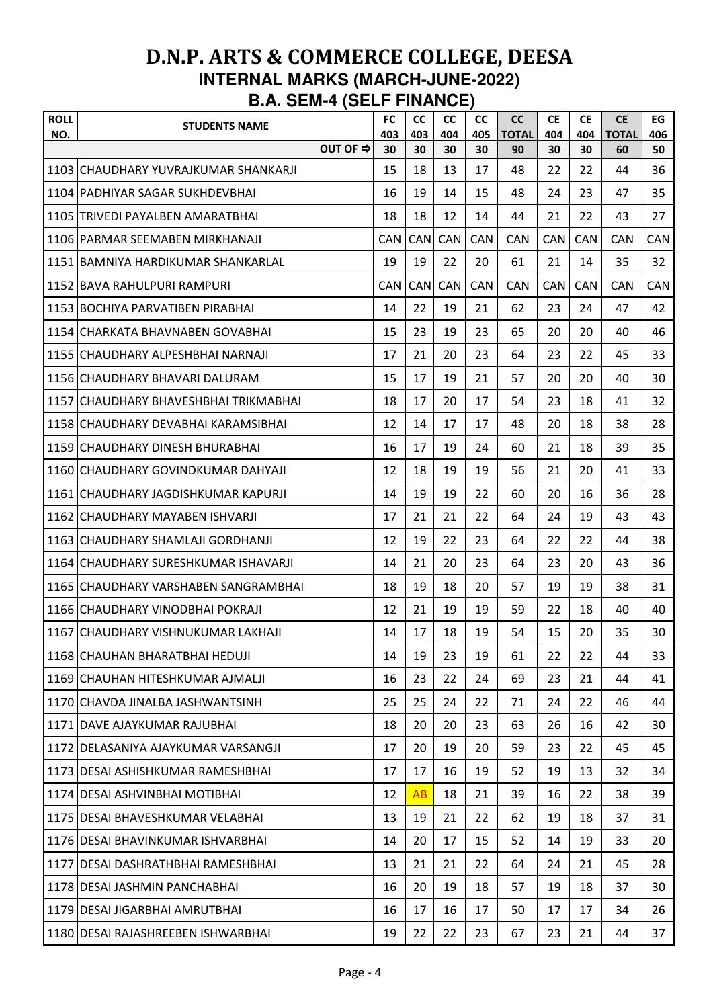| <b>ROLL</b><br>NO. | <b>STUDENTS NAME</b>                  |          | <b>FC</b><br>403 | cc<br>403  | <b>CC</b><br>404 | <b>CC</b><br>405 | <b>CC</b><br><b>TOTAL</b> | <b>CE</b><br>404 | <b>CE</b><br>404 | <b>CE</b><br><b>TOTAL</b> | EG<br>406 |
|--------------------|---------------------------------------|----------|------------------|------------|------------------|------------------|---------------------------|------------------|------------------|---------------------------|-----------|
|                    |                                       | OUT OF ⇒ | 30               | 30         | 30               | 30               | 90                        | 30               | 30               | 60                        | 50        |
|                    | 1103 CHAUDHARY YUVRAJKUMAR SHANKARJI  |          | 15               | 18         | 13               | 17               | 48                        | 22               | 22               | 44                        | 36        |
|                    | 1104 PADHIYAR SAGAR SUKHDEVBHAI       |          | 16               | 19         | 14               | 15               | 48                        | 24               | 23               | 47                        | 35        |
|                    | 1105 TRIVEDI PAYALBEN AMARATBHAI      |          | 18               | 18         | 12               | 14               | 44                        | 21               | 22               | 43                        | 27        |
|                    | 1106 PARMAR SEEMABEN MIRKHANAJI       |          | <b>CAN</b>       | <b>CAN</b> | CAN              | CAN              | CAN                       | <b>CAN</b>       | <b>CAN</b>       | <b>CAN</b>                | CAN       |
|                    | 1151 BAMNIYA HARDIKUMAR SHANKARLAL    |          | 19               | 19         | 22               | 20               | 61                        | 21               | 14               | 35                        | 32        |
|                    | 1152 BAVA RAHULPURI RAMPURI           |          | <b>CAN</b>       | CAN        | CAN              | CAN              | <b>CAN</b>                | <b>CAN</b>       | <b>CAN</b>       | <b>CAN</b>                | CAN       |
|                    | 1153 BOCHIYA PARVATIBEN PIRABHAI      |          | 14               | 22         | 19               | 21               | 62                        | 23               | 24               | 47                        | 42        |
|                    | 1154 ICHARKATA BHAVNABEN GOVABHAI     |          | 15               | 23         | 19               | 23               | 65                        | 20               | 20               | 40                        | 46        |
|                    | 1155 CHAUDHARY ALPESHBHAI NARNAJI     |          | 17               | 21         | 20               | 23               | 64                        | 23               | 22               | 45                        | 33        |
|                    | 1156 CHAUDHARY BHAVARI DALURAM        |          | 15               | 17         | 19               | 21               | 57                        | 20               | 20               | 40                        | 30        |
|                    | 1157 CHAUDHARY BHAVESHBHAI TRIKMABHAI |          | 18               | 17         | 20               | 17               | 54                        | 23               | 18               | 41                        | 32        |
|                    | 1158 CHAUDHARY DEVABHAI KARAMSIBHAI   |          | 12               | 14         | 17               | 17               | 48                        | 20               | 18               | 38                        | 28        |
|                    | 1159 CHAUDHARY DINESH BHURABHAI       |          | 16               | 17         | 19               | 24               | 60                        | 21               | 18               | 39                        | 35        |
|                    | 1160 ICHAUDHARY GOVINDKUMAR DAHYAJI   |          | 12               | 18         | 19               | 19               | 56                        | 21               | 20               | 41                        | 33        |
|                    | 1161 CHAUDHARY JAGDISHKUMAR KAPURJI   |          | 14               | 19         | 19               | 22               | 60                        | 20               | 16               | 36                        | 28        |
|                    | 1162 CHAUDHARY MAYABEN ISHVARJI       |          | 17               | 21         | 21               | 22               | 64                        | 24               | 19               | 43                        | 43        |
|                    | 1163 CHAUDHARY SHAMLAJI GORDHANJI     |          | 12               | 19         | 22               | 23               | 64                        | 22               | 22               | 44                        | 38        |
|                    | 1164 CHAUDHARY SURESHKUMAR ISHAVARJI  |          | 14               | 21         | 20               | 23               | 64                        | 23               | 20               | 43                        | 36        |
|                    | 1165 CHAUDHARY VARSHABEN SANGRAMBHAI  |          | 18               | 19         | 18               | 20               | 57                        | 19               | 19               | 38                        | 31        |
|                    | 1166 CHAUDHARY VINODBHAI POKRAJI      |          | 12               | 21         | 19               | 19               | 59                        | 22               | 18               | 40                        | 40        |
|                    | 1167 CHAUDHARY VISHNUKUMAR LAKHAJI    |          | 14               | 17         | 18               | 19               | 54                        | 15               | 20               | 35                        | 30        |
|                    | 1168 CHAUHAN BHARATBHAI HEDUJI        |          | 14               | 19         | 23               | 19               | 61                        | 22               | 22               | 44                        | 33        |
|                    | 1169 CHAUHAN HITESHKUMAR AJMALJI      |          | 16               | 23         | 22               | 24               | 69                        | 23               | 21               | 44                        | 41        |
|                    | 1170 CHAVDA JINALBA JASHWANTSINH      |          | 25               | 25         | 24               | 22               | 71                        | 24               | 22               | 46                        | 44        |
|                    | 1171 DAVE AJAYKUMAR RAJUBHAI          |          | 18               | 20         | 20               | 23               | 63                        | 26               | 16               | 42                        | 30        |
|                    | 1172 DELASANIYA AJAYKUMAR VARSANGJI   |          | 17               | 20         | 19               | 20               | 59                        | 23               | 22               | 45                        | 45        |
|                    | 1173 DESAI ASHISHKUMAR RAMESHBHAI     |          | 17               | 17         | 16               | 19               | 52                        | 19               | 13               | 32                        | 34        |
|                    | 1174 DESAI ASHVINBHAI MOTIBHAI        |          | 12               | AB         | 18               | 21               | 39                        | 16               | 22               | 38                        | 39        |
|                    | 1175 DESAI BHAVESHKUMAR VELABHAI      |          | 13               | 19         | 21               | 22               | 62                        | 19               | 18               | 37                        | 31        |
|                    | 1176 IDESAI BHAVINKUMAR ISHVARBHAI    |          | 14               | 20         | 17               | 15               | 52                        | 14               | 19               | 33                        | 20        |
|                    | 1177   DESAI DASHRATHBHAI RAMESHBHAI  |          | 13               | 21         | 21               | 22               | 64                        | 24               | 21               | 45                        | 28        |
|                    | 1178 DESAI JASHMIN PANCHABHAI         |          | 16               | 20         | 19               | 18               | 57                        | 19               | 18               | 37                        | 30        |
|                    | 1179 DESAI JIGARBHAI AMRUTBHAI        |          | 16               | 17         | 16               | 17               | 50                        | 17               | 17               | 34                        | 26        |
|                    | 1180 DESAI RAJASHREEBEN ISHWARBHAI    |          | 19               | 22         | 22               | 23               | 67                        | 23               | 21               | 44                        | 37        |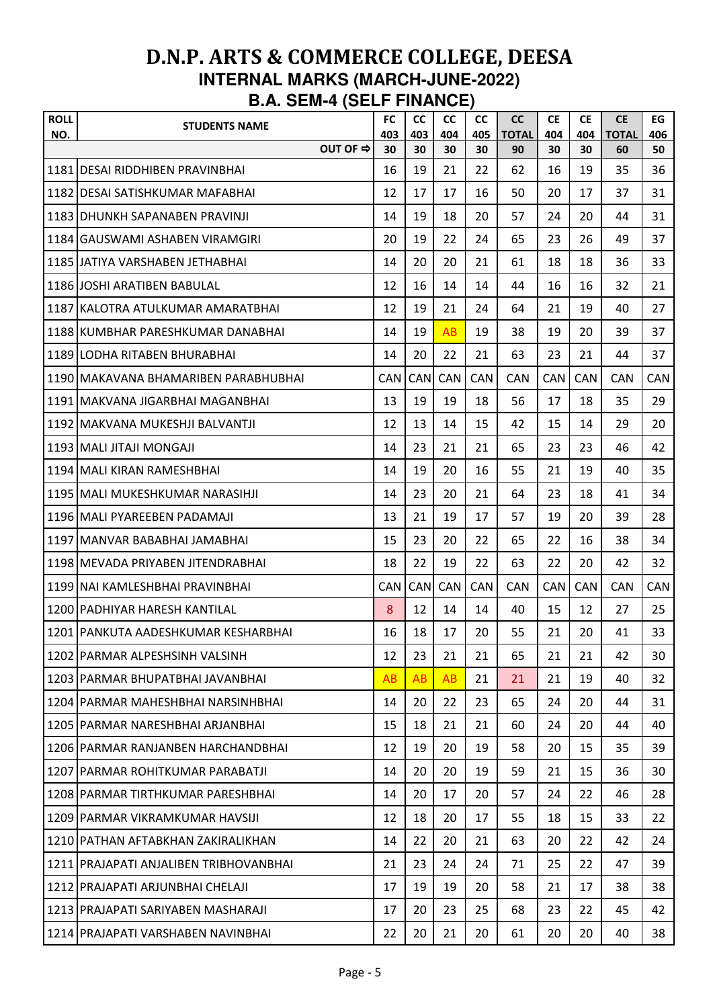| <b>ROLL</b><br>NO. | <b>STUDENTS NAME</b>                   | <b>FC</b><br>403 | cc<br>403  | <b>CC</b><br>404 | <b>CC</b><br>405 | <b>CC</b><br><b>TOTAL</b> | <b>CE</b><br>404 | <b>CE</b><br>404 | <b>CE</b><br><b>TOTAL</b> | EG<br>406  |
|--------------------|----------------------------------------|------------------|------------|------------------|------------------|---------------------------|------------------|------------------|---------------------------|------------|
|                    | OUT OF ⇒                               | 30               | 30         | 30               | 30               | 90                        | 30               | 30               | 60                        | 50         |
|                    | 1181 DESAI RIDDHIBEN PRAVINBHAI        | 16               | 19         | 21               | 22               | 62                        | 16               | 19               | 35                        | 36         |
|                    | 1182 DESAI SATISHKUMAR MAFABHAI        | 12               | 17         | 17               | 16               | 50                        | 20               | 17               | 37                        | 31         |
|                    | 1183 IDHUNKH SAPANABEN PRAVINJI        | 14               | 19         | 18               | 20               | 57                        | 24               | 20               | 44                        | 31         |
|                    | 1184 GAUSWAMI ASHABEN VIRAMGIRI        | 20               | 19         | 22               | 24               | 65                        | 23               | 26               | 49                        | 37         |
|                    | 1185 JJATIYA VARSHABEN JETHABHAI       | 14               | 20         | 20               | 21               | 61                        | 18               | 18               | 36                        | 33         |
|                    | 1186 JOSHI ARATIBEN BABULAL            | 12               | 16         | 14               | 14               | 44                        | 16               | 16               | 32                        | 21         |
|                    | 1187 KALOTRA ATULKUMAR AMARATBHAI      | 12               | 19         | 21               | 24               | 64                        | 21               | 19               | 40                        | 27         |
|                    | 1188 IKUMBHAR PARESHKUMAR DANABHAI     | 14               | 19         | AB               | 19               | 38                        | 19               | 20               | 39                        | 37         |
|                    | 1189 LODHA RITABEN BHURABHAI           | 14               | 20         | 22               | 21               | 63                        | 23               | 21               | 44                        | 37         |
|                    | 1190 MAKAVANA BHAMARIBEN PARABHUBHAI   | <b>CAN</b>       | <b>CAN</b> | CAN              | CAN              | <b>CAN</b>                | CAN              | <b>CAN</b>       | <b>CAN</b>                | CAN        |
|                    | 1191   MAKVANA JIGARBHAI MAGANBHAI     | 13               | 19         | 19               | 18               | 56                        | 17               | 18               | 35                        | 29         |
|                    | 1192   MAKVANA MUKESHJI BALVANTJI      | 12               | 13         | 14               | 15               | 42                        | 15               | 14               | 29                        | 20         |
|                    | 1193 MALI JITAJI MONGAJI               | 14               | 23         | 21               | 21               | 65                        | 23               | 23               | 46                        | 42         |
|                    | 1194 MALI KIRAN RAMESHBHAI             | 14               | 19         | 20               | 16               | 55                        | 21               | 19               | 40                        | 35         |
|                    | 1195 MALI MUKESHKUMAR NARASIHJI        | 14               | 23         | 20               | 21               | 64                        | 23               | 18               | 41                        | 34         |
|                    | 1196 MALI PYAREEBEN PADAMAJI           | 13               | 21         | 19               | 17               | 57                        | 19               | 20               | 39                        | 28         |
|                    | 1197 MANVAR BABABHAI JAMABHAI          | 15               | 23         | 20               | 22               | 65                        | 22               | 16               | 38                        | 34         |
|                    | 1198 MEVADA PRIYABEN JITENDRABHAI      | 18               | 22         | 19               | 22               | 63                        | 22               | 20               | 42                        | 32         |
|                    | 1199 NAI KAMLESHBHAI PRAVINBHAI        | <b>CAN</b>       | <b>CAN</b> | CAN              | CAN              | CAN                       | CAN              | CAN              | CAN                       | <b>CAN</b> |
|                    | 1200 PADHIYAR HARESH KANTILAL          | 8                | 12         | 14               | 14               | 40                        | 15               | 12               | 27                        | 25         |
|                    | 1201 PANKUTA AADESHKUMAR KESHARBHAI    | 16               | 18         | 17               | 20               | 55                        | 21               | 20               | 41                        | 33         |
|                    | 1202 PARMAR ALPESHSINH VALSINH         | 12               | 23         | 21               | 21               | 65                        | 21               | 21               | 42                        | 30         |
|                    | 1203 PARMAR BHUPATBHAI JAVANBHAI       | AB               | AB         | AB               | 21               | 21                        | 21               | 19               | 40                        | 32         |
|                    | 1204 PARMAR MAHESHBHAI NARSINHBHAI     | 14               | 20         | 22               | 23               | 65                        | 24               | 20               | 44                        | 31         |
|                    | 1205 PARMAR NARESHBHAI ARJANBHAI       | 15               | 18         | 21               | 21               | 60                        | 24               | 20               | 44                        | 40         |
|                    | 1206 PARMAR RANJANBEN HARCHANDBHAI     | 12               | 19         | 20               | 19               | 58                        | 20               | 15               | 35                        | 39         |
|                    | 1207 PARMAR ROHITKUMAR PARABATJI       | 14               | 20         | 20               | 19               | 59                        | 21               | 15               | 36                        | 30         |
|                    | 1208 PARMAR TIRTHKUMAR PARESHBHAI      | 14               | 20         | 17               | 20               | 57                        | 24               | 22               | 46                        | 28         |
|                    | 1209 PARMAR VIKRAMKUMAR HAVSIJI        | 12               | 18         | 20               | 17               | 55                        | 18               | 15               | 33                        | 22         |
|                    | 1210 IPATHAN AFTABKHAN ZAKIRALIKHAN    | 14               | 22         | 20               | 21               | 63                        | 20               | 22               | 42                        | 24         |
|                    | 1211 PRAJAPATI ANJALIBEN TRIBHOVANBHAI | 21               | 23         | 24               | 24               | 71                        | 25               | 22               | 47                        | 39         |
|                    | 1212 PRAJAPATI ARJUNBHAI CHELAJI       | 17               | 19         | 19               | 20               | 58                        | 21               | 17               | 38                        | 38         |
|                    | 1213 PRAJAPATI SARIYABEN MASHARAJI     | 17               | 20         | 23               | 25               | 68                        | 23               | 22               | 45                        | 42         |
|                    | 1214 PRAJAPATI VARSHABEN NAVINBHAI     | 22               | 20         | 21               | 20               | 61                        | 20               | 20               | 40                        | 38         |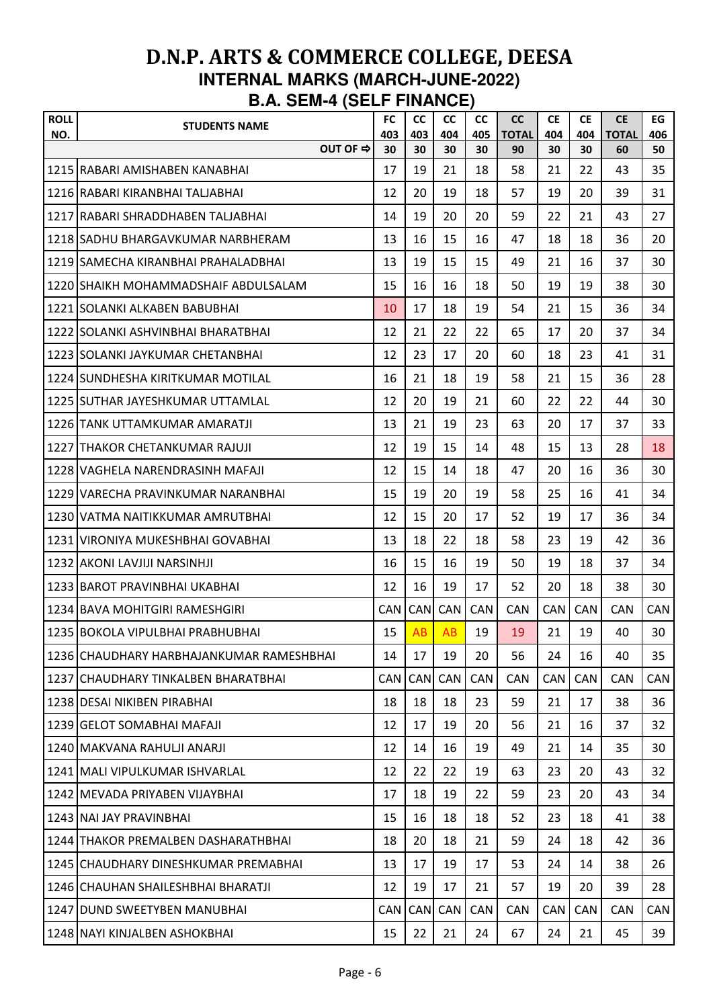| <b>ROLL</b><br>NO. | <b>STUDENTS NAME</b>                     | <b>FC</b><br>403 | cc<br>403  | <b>CC</b><br>404 | <b>CC</b><br>405 | <b>CC</b><br><b>TOTAL</b> | <b>CE</b><br>404 | <b>CE</b><br>404 | <b>CE</b><br><b>TOTAL</b> | EG<br>406  |
|--------------------|------------------------------------------|------------------|------------|------------------|------------------|---------------------------|------------------|------------------|---------------------------|------------|
|                    | OUT OF ⇒                                 | 30               | 30         | 30               | 30               | 90                        | 30               | 30               | 60                        | 50         |
|                    | 1215 RABARI AMISHABEN KANABHAI           | 17               | 19         | 21               | 18               | 58                        | 21               | 22               | 43                        | 35         |
|                    | 1216 RABARI KIRANBHAI TALJABHAI          | 12               | 20         | 19               | 18               | 57                        | 19               | 20               | 39                        | 31         |
|                    | 1217 IRABARI SHRADDHABEN TALJABHAI       | 14               | 19         | 20               | 20               | 59                        | 22               | 21               | 43                        | 27         |
|                    | 1218 ISADHU BHARGAVKUMAR NARBHERAM       | 13               | 16         | 15               | 16               | 47                        | 18               | 18               | 36                        | 20         |
|                    | 1219 ISAMECHA KIRANBHAI PRAHALADBHAI     | 13               | 19         | 15               | 15               | 49                        | 21               | 16               | 37                        | 30         |
|                    | 1220 SHAIKH MOHAMMADSHAIF ABDULSALAM     | 15               | 16         | 16               | 18               | 50                        | 19               | 19               | 38                        | 30         |
|                    | 1221 SOLANKI ALKABEN BABUBHAI            | 10               | 17         | 18               | 19               | 54                        | 21               | 15               | 36                        | 34         |
|                    | 1222 SOLANKI ASHVINBHAI BHARATBHAI       | 12               | 21         | 22               | 22               | 65                        | 17               | 20               | 37                        | 34         |
|                    | 1223 SOLANKI JAYKUMAR CHETANBHAI         | 12               | 23         | 17               | 20               | 60                        | 18               | 23               | 41                        | 31         |
|                    | 1224 SUNDHESHA KIRITKUMAR MOTILAL        | 16               | 21         | 18               | 19               | 58                        | 21               | 15               | 36                        | 28         |
|                    | 1225 SUTHAR JAYESHKUMAR UTTAMLAL         | 12               | 20         | 19               | 21               | 60                        | 22               | 22               | 44                        | 30         |
|                    | 1226   TANK UTTAMKUMAR AMARATJI          | 13               | 21         | 19               | 23               | 63                        | 20               | 17               | 37                        | 33         |
|                    | 1227 THAKOR CHETANKUMAR RAJUJI           | 12               | 19         | 15               | 14               | 48                        | 15               | 13               | 28                        | 18         |
|                    | 1228 VAGHELA NARENDRASINH MAFAJI         | 12               | 15         | 14               | 18               | 47                        | 20               | 16               | 36                        | 30         |
|                    | 1229 VARECHA PRAVINKUMAR NARANBHAI       | 15               | 19         | 20               | 19               | 58                        | 25               | 16               | 41                        | 34         |
|                    | 1230 IVATMA NAITIKKUMAR AMRUTBHAI        | 12               | 15         | 20               | 17               | 52                        | 19               | 17               | 36                        | 34         |
|                    | 1231 IVIRONIYA MUKESHBHAI GOVABHAI       | 13               | 18         | 22               | 18               | 58                        | 23               | 19               | 42                        | 36         |
|                    | 1232 AKONI LAVJIJI NARSINHJI             | 16               | 15         | 16               | 19               | 50                        | 19               | 18               | 37                        | 34         |
|                    | 1233 BAROT PRAVINBHAI UKABHAI            | 12               | 16         | 19               | 17               | 52                        | 20               | 18               | 38                        | 30         |
|                    | 1234 BAVA MOHITGIRI RAMESHGIRI           | <b>CAN</b>       | <b>CAN</b> | <b>CAN</b>       | CAN              | CAN                       | <b>CAN</b>       | <b>CAN</b>       | <b>CAN</b>                | <b>CAN</b> |
|                    | 1235 BOKOLA VIPULBHAI PRABHUBHAI         | 15               | AB         | AB               | 19               | 19                        | 21               | 19               | 40                        | 30         |
|                    | 1236 CHAUDHARY HARBHAJANKUMAR RAMESHBHAI | 14               | 17         | 19               | 20               | 56                        | 24               | 16               | 40                        | 35         |
|                    | 1237 CHAUDHARY TINKALBEN BHARATBHAI      | <b>CAN</b>       | <b>CAN</b> | <b>CAN</b>       | <b>CAN</b>       | <b>CAN</b>                | <b>CAN</b>       | <b>CAN</b>       | <b>CAN</b>                | <b>CAN</b> |
|                    | 1238 DESAI NIKIBEN PIRABHAI              | 18               | 18         | 18               | 23               | 59                        | 21               | 17               | 38                        | 36         |
|                    | 1239 GELOT SOMABHAI MAFAJI               | 12               | 17         | 19               | 20               | 56                        | 21               | 16               | 37                        | 32         |
|                    | 1240 MAKVANA RAHULJI ANARJI              | 12               | 14         | 16               | 19               | 49                        | 21               | 14               | 35                        | 30         |
|                    | 1241 MALI VIPULKUMAR ISHVARLAL           | 12               | 22         | 22               | 19               | 63                        | 23               | 20               | 43                        | 32         |
|                    | 1242 MEVADA PRIYABEN VIJAYBHAI           | 17               | 18         | 19               | 22               | 59                        | 23               | 20               | 43                        | 34         |
|                    | 1243 NAI JAY PRAVINBHAI                  | 15               | 16         | 18               | 18               | 52                        | 23               | 18               | 41                        | 38         |
|                    | 1244 ITHAKOR PREMALBEN DASHARATHBHAI     | 18               | 20         | 18               | 21               | 59                        | 24               | 18               | 42                        | 36         |
|                    | 1245 CHAUDHARY DINESHKUMAR PREMABHAI     | 13               | 17         | 19               | 17               | 53                        | 24               | 14               | 38                        | 26         |
|                    | 1246 CHAUHAN SHAILESHBHAI BHARATJI       | 12               | 19         | 17               | 21               | 57                        | 19               | 20               | 39                        | 28         |
|                    | 1247 DUND SWEETYBEN MANUBHAI             | <b>CAN</b>       | <b>CAN</b> | <b>CAN</b>       | CAN              | <b>CAN</b>                | <b>CAN</b>       | <b>CAN</b>       | <b>CAN</b>                | <b>CAN</b> |
|                    | 1248 NAYI KINJALBEN ASHOKBHAI            | 15               | 22         | 21               | 24               | 67                        | 24               | 21               | 45                        | 39         |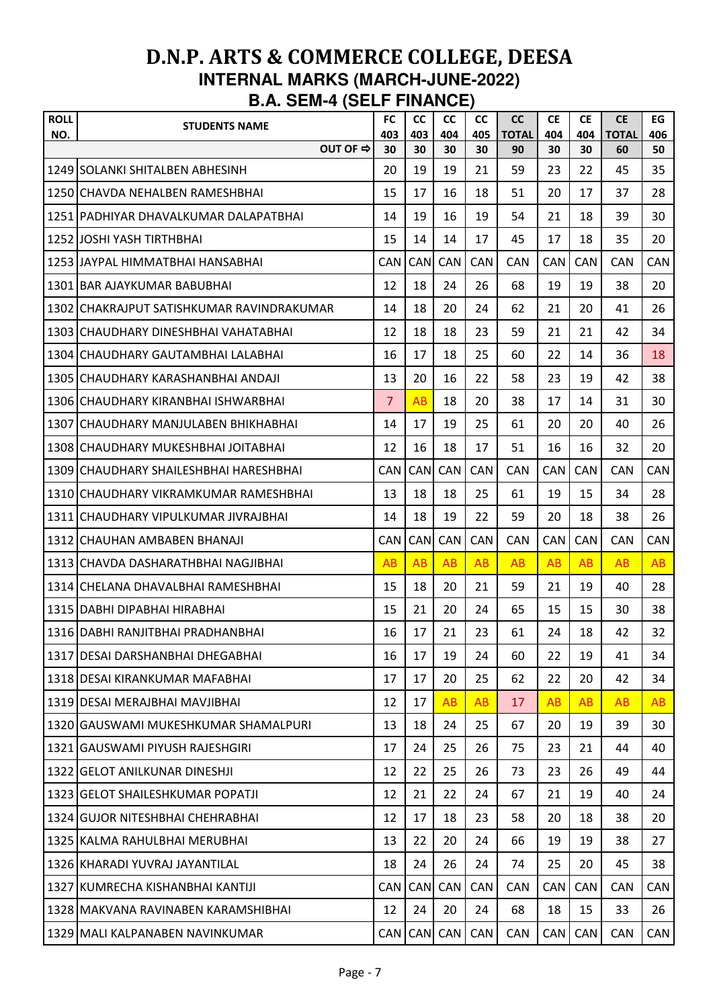| <b>ROLL</b> | <b>STUDENTS NAME</b>                      | <b>FC</b>      | cc         | <b>CC</b>  | cc         | <b>CC</b>          | <b>CE</b>  | <b>CE</b>  | <b>CE</b>          | EG         |
|-------------|-------------------------------------------|----------------|------------|------------|------------|--------------------|------------|------------|--------------------|------------|
| NO.         | OUT OF ⇒                                  | 403<br>30      | 403<br>30  | 404<br>30  | 405<br>30  | <b>TOTAL</b><br>90 | 404<br>30  | 404<br>30  | <b>TOTAL</b><br>60 | 406<br>50  |
|             | 1249 SOLANKI SHITALBEN ABHESINH           | 20             | 19         | 19         | 21         | 59                 | 23         | 22         | 45                 | 35         |
|             | 1250 CHAVDA NEHALBEN RAMESHBHAI           | 15             | 17         | 16         | 18         | 51                 | 20         | 17         | 37                 | 28         |
|             | 1251 PADHIYAR DHAVALKUMAR DALAPATBHAI     | 14             | 19         | 16         | 19         | 54                 | 21         | 18         | 39                 | 30         |
|             | 1252 JJOSHI YASH TIRTHBHAI                | 15             | 14         | 14         | 17         | 45                 | 17         | 18         | 35                 | 20         |
|             | 1253 UAYPAL HIMMATBHAI HANSABHAI          | <b>CAN</b>     | CAN        | CAN        | CAN        | <b>CAN</b>         | CAN        | CAN        | <b>CAN</b>         | CAN        |
|             | 1301 BAR AJAYKUMAR BABUBHAI               | 12             | 18         | 24         | 26         | 68                 | 19         | 19         | 38                 | 20         |
|             | 1302 CHAKRAJPUT SATISHKUMAR RAVINDRAKUMAR | 14             | 18         | 20         | 24         | 62                 | 21         | 20         | 41                 | 26         |
|             | 1303 ICHAUDHARY DINESHBHAI VAHATABHAI     | 12             | 18         | 18         | 23         | 59                 | 21         | 21         | 42                 | 34         |
|             | 1304 CHAUDHARY GAUTAMBHAI LALABHAI        | 16             | 17         | 18         | 25         | 60                 | 22         | 14         | 36                 | 18         |
|             | 1305 CHAUDHARY KARASHANBHAI ANDAJI        | 13             | 20         | 16         | 22         | 58                 | 23         | 19         | 42                 | 38         |
|             | 1306 CHAUDHARY KIRANBHAI ISHWARBHAI       | $\overline{7}$ | AB         | 18         | 20         | 38                 | 17         | 14         | 31                 | 30         |
|             | 1307 CHAUDHARY MANJULABEN BHIKHABHAI      | 14             | 17         | 19         | 25         | 61                 | 20         | 20         | 40                 | 26         |
|             | 1308 CHAUDHARY MUKESHBHAI JOITABHAI       | 12             | 16         | 18         | 17         | 51                 | 16         | 16         | 32                 | 20         |
|             | 1309 CHAUDHARY SHAILESHBHAI HARESHBHAI    | <b>CAN</b>     | <b>CAN</b> | CAN        | <b>CAN</b> | <b>CAN</b>         | <b>CAN</b> | <b>CAN</b> | <b>CAN</b>         | <b>CAN</b> |
|             | 1310 CHAUDHARY VIKRAMKUMAR RAMESHBHAI     | 13             | 18         | 18         | 25         | 61                 | 19         | 15         | 34                 | 28         |
|             | 1311 CHAUDHARY VIPULKUMAR JIVRAJBHAI      | 14             | 18         | 19         | 22         | 59                 | 20         | 18         | 38                 | 26         |
|             | 1312 CHAUHAN AMBABEN BHANAJI              | <b>CAN</b>     | <b>CAN</b> | CAN        | <b>CAN</b> | <b>CAN</b>         | <b>CAN</b> | <b>CAN</b> | <b>CAN</b>         | CAN        |
|             | 1313 ICHAVDA DASHARATHBHAI NAGJIBHAI      | AB             | AB         | AB         | AB         | AB                 | AB         | AB         | AB                 | AB         |
|             | 1314 ICHELANA DHAVALBHAI RAMESHBHAI       | 15             | 18         | 20         | 21         | 59                 | 21         | 19         | 40                 | 28         |
|             | 1315 DABHI DIPABHAI HIRABHAI              | 15             | 21         | 20         | 24         | 65                 | 15         | 15         | 30                 | 38         |
|             | 1316 DABHI RANJITBHAI PRADHANBHAI         | 16             | 17         | 21         | 23         | 61                 | 24         | 18         | 42                 | 32         |
|             | 1317 DESAI DARSHANBHAI DHEGABHAI          | 16             | 17         | 19         | 24         | 60                 | 22         | 19         | 41                 | 34         |
|             | 1318 DESAI KIRANKUMAR MAFABHAI            | 17             | 17         | 20         | 25         | 62                 | 22         | 20         | 42                 | 34         |
|             | 1319 DESAI MERAJBHAI MAVJIBHAI            | 12             | 17         | AB         | AB         | 17                 | AB         | AB         | AB                 | AB         |
|             | 1320 GAUSWAMI MUKESHKUMAR SHAMALPURI      | 13             | 18         | 24         | 25         | 67                 | 20         | 19         | 39                 | 30         |
|             | 1321 GAUSWAMI PIYUSH RAJESHGIRI           | 17             | 24         | 25         | 26         | 75                 | 23         | 21         | 44                 | 40         |
|             | 1322 GELOT ANILKUNAR DINESHJI             | 12             | 22         | 25         | 26         | 73                 | 23         | 26         | 49                 | 44         |
|             | 1323 GELOT SHAILESHKUMAR POPATJI          | 12             | 21         | 22         | 24         | 67                 | 21         | 19         | 40                 | 24         |
|             | 1324 GUJOR NITESHBHAI CHEHRABHAI          | 12             | 17         | 18         | 23         | 58                 | 20         | 18         | 38                 | 20         |
|             | 1325 KALMA RAHULBHAI MERUBHAI             | 13             | 22         | 20         | 24         | 66                 | 19         | 19         | 38                 | 27         |
|             | 1326 KHARADI YUVRAJ JAYANTILAL            | 18             | 24         | 26         | 24         | 74                 | 25         | 20         | 45                 | 38         |
|             | 1327 KUMRECHA KISHANBHAI KANTIJI          | <b>CAN</b>     | <b>CAN</b> | <b>CAN</b> | <b>CAN</b> | <b>CAN</b>         | CAN        | CAN        | CAN                | CAN        |
|             | 1328 MAKVANA RAVINABEN KARAMSHIBHAI       | 12             | 24         | 20         | 24         | 68                 | 18         | 15         | 33                 | 26         |
|             | 1329 MALI KALPANABEN NAVINKUMAR           | CAN            |            | CAN CAN    | CAN        | CAN                | CAN        | <b>CAN</b> | CAN                | CAN        |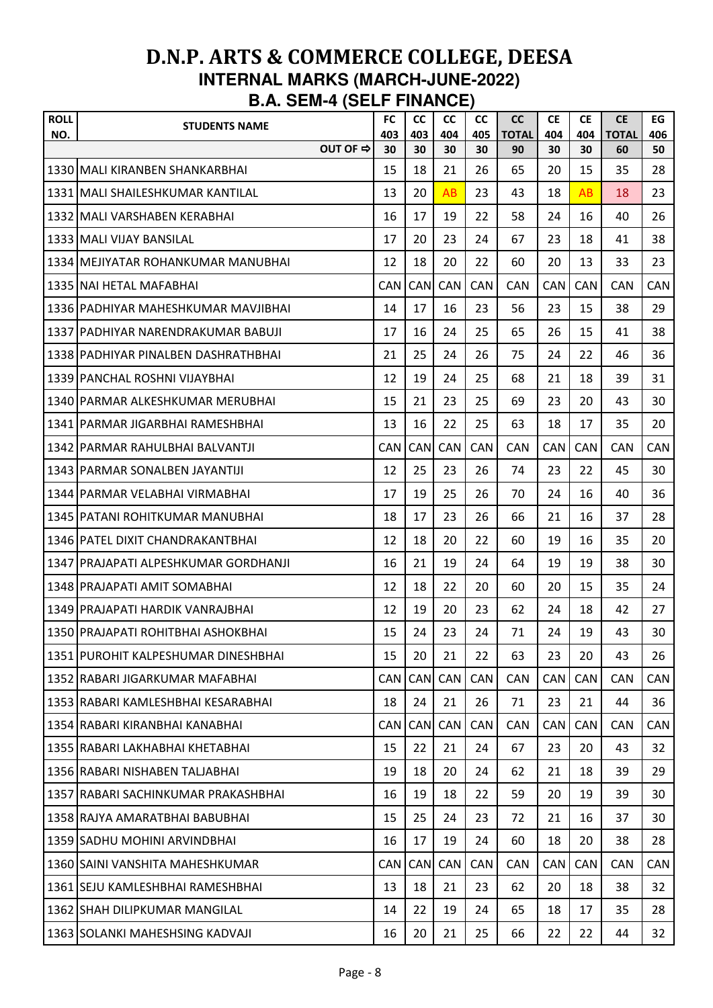| <b>ROLL</b> | <b>STUDENTS NAME</b>                 | <b>FC</b>  | <b>CC</b>  | <b>CC</b>  | <b>CC</b>  | cc                 | <b>CE</b>  | <b>CE</b>  | <b>CE</b>          | EG         |
|-------------|--------------------------------------|------------|------------|------------|------------|--------------------|------------|------------|--------------------|------------|
| NO.         | OUT OF ⇒                             | 403<br>30  | 403<br>30  | 404<br>30  | 405<br>30  | <b>TOTAL</b><br>90 | 404<br>30  | 404<br>30  | <b>TOTAL</b><br>60 | 406<br>50  |
|             | 1330 MALI KIRANBEN SHANKARBHAI       | 15         | 18         | 21         | 26         | 65                 | 20         | 15         | 35                 | 28         |
|             | 1331 MALI SHAILESHKUMAR KANTILAL     | 13         | 20         | AB         | 23         | 43                 | 18         | AB         | 18                 | 23         |
|             | 1332 MALI VARSHABEN KERABHAI         | 16         | 17         | 19         | 22         | 58                 | 24         | 16         | 40                 | 26         |
|             | 1333 MALI VIJAY BANSILAL             | 17         | 20         | 23         | 24         | 67                 | 23         | 18         | 41                 | 38         |
|             | 1334   MEJIYATAR ROHANKUMAR MANUBHAI | 12         | 18         | 20         | 22         | 60                 | 20         | 13         | 33                 | 23         |
|             | 1335 NAI HETAL MAFABHAI              | <b>CAN</b> | <b>CAN</b> | <b>CAN</b> | <b>CAN</b> | <b>CAN</b>         | <b>CAN</b> | <b>CAN</b> | <b>CAN</b>         | <b>CAN</b> |
|             | 1336 PADHIYAR MAHESHKUMAR MAVJIBHAI  | 14         | 17         | 16         | 23         | 56                 | 23         | 15         | 38                 | 29         |
|             | 1337 IPADHIYAR NARENDRAKUMAR BABUJI  | 17         | 16         | 24         | 25         | 65                 | 26         | 15         | 41                 | 38         |
|             | 1338 PADHIYAR PINALBEN DASHRATHBHAI  | 21         | 25         | 24         | 26         | 75                 | 24         | 22         | 46                 | 36         |
|             | 1339 PANCHAL ROSHNI VIJAYBHAI        | 12         | 19         | 24         | 25         | 68                 | 21         | 18         | 39                 | 31         |
|             | 1340 PARMAR ALKESHKUMAR MERUBHAI     | 15         | 21         | 23         | 25         | 69                 | 23         | 20         | 43                 | 30         |
|             | 1341 IPARMAR JIGARBHAI RAMESHBHAI    | 13         | 16         | 22         | 25         | 63                 | 18         | 17         | 35                 | 20         |
|             | 1342 PARMAR RAHULBHAI BALVANTJI      | <b>CAN</b> | CAN        | CAN        | CAN        | <b>CAN</b>         | CAN        | <b>CAN</b> | <b>CAN</b>         | CAN        |
|             | 1343 PARMAR SONALBEN JAYANTIJI       | 12         | 25         | 23         | 26         | 74                 | 23         | 22         | 45                 | 30         |
|             | 1344 PARMAR VELABHAI VIRMABHAI       | 17         | 19         | 25         | 26         | 70                 | 24         | 16         | 40                 | 36         |
|             | 1345   PATANI ROHITKUMAR MANUBHAI    | 18         | 17         | 23         | 26         | 66                 | 21         | 16         | 37                 | 28         |
|             | 1346 PATEL DIXIT CHANDRAKANTBHAI     | 12         | 18         | 20         | 22         | 60                 | 19         | 16         | 35                 | 20         |
|             | 1347 PRAJAPATI ALPESHKUMAR GORDHANJI | 16         | 21         | 19         | 24         | 64                 | 19         | 19         | 38                 | 30         |
|             | 1348 PRAJAPATI AMIT SOMABHAI         | 12         | 18         | 22         | 20         | 60                 | 20         | 15         | 35                 | 24         |
|             | 1349 PRAJAPATI HARDIK VANRAJBHAI     | 12         | 19         | 20         | 23         | 62                 | 24         | 18         | 42                 | 27         |
|             | 1350 PRAJAPATI ROHITBHAI ASHOKBHAI   | 15         | 24         | 23         | 24         | 71                 | 24         | 19         | 43                 | 30         |
|             | 1351 PUROHIT KALPESHUMAR DINESHBHAI  | 15         | 20         | 21         | 22         | 63                 | 23         | 20         | 43                 | 26         |
|             | 1352 RABARI JIGARKUMAR MAFABHAI      | <b>CAN</b> | <b>CAN</b> | CAN        | <b>CAN</b> | <b>CAN</b>         | <b>CAN</b> | <b>CAN</b> | <b>CAN</b>         | CAN        |
|             | 1353 RABARI KAMLESHBHAI KESARABHAI   | 18         | 24         | 21         | 26         | 71                 | 23         | 21         | 44                 | 36         |
|             | 1354 RABARI KIRANBHAI KANABHAI       | <b>CAN</b> | <b>CAN</b> | CAN        | CAN        | <b>CAN</b>         | CAN        | <b>CAN</b> | <b>CAN</b>         | <b>CAN</b> |
|             | 1355 RABARI LAKHABHAI KHETABHAI      | 15         | 22         | 21         | 24         | 67                 | 23         | 20         | 43                 | 32         |
|             | 1356 RABARI NISHABEN TALJABHAI       | 19         | 18         | 20         | 24         | 62                 | 21         | 18         | 39                 | 29         |
|             | 1357 RABARI SACHINKUMAR PRAKASHBHAI  | 16         | 19         | 18         | 22         | 59                 | 20         | 19         | 39                 | 30         |
|             | 1358 RAJYA AMARATBHAI BABUBHAI       | 15         | 25         | 24         | 23         | 72                 | 21         | 16         | 37                 | 30         |
|             | 1359 SADHU MOHINI ARVINDBHAI         | 16         | 17         | 19         | 24         | 60                 | 18         | 20         | 38                 | 28         |
|             | 1360 SAINI VANSHITA MAHESHKUMAR      | <b>CAN</b> | <b>CAN</b> | <b>CAN</b> | <b>CAN</b> | <b>CAN</b>         | CAN        | <b>CAN</b> | <b>CAN</b>         | CAN        |
|             | 1361 SEJU KAMLESHBHAI RAMESHBHAI     | 13         | 18         | 21         | 23         | 62                 | 20         | 18         | 38                 | 32         |
|             | 1362 SHAH DILIPKUMAR MANGILAL        | 14         | 22         | 19         | 24         | 65                 | 18         | 17         | 35                 | 28         |
|             | 1363 SOLANKI MAHESHSING KADVAJI      | 16         | 20         | 21         | 25         | 66                 | 22         | 22         | 44                 | 32         |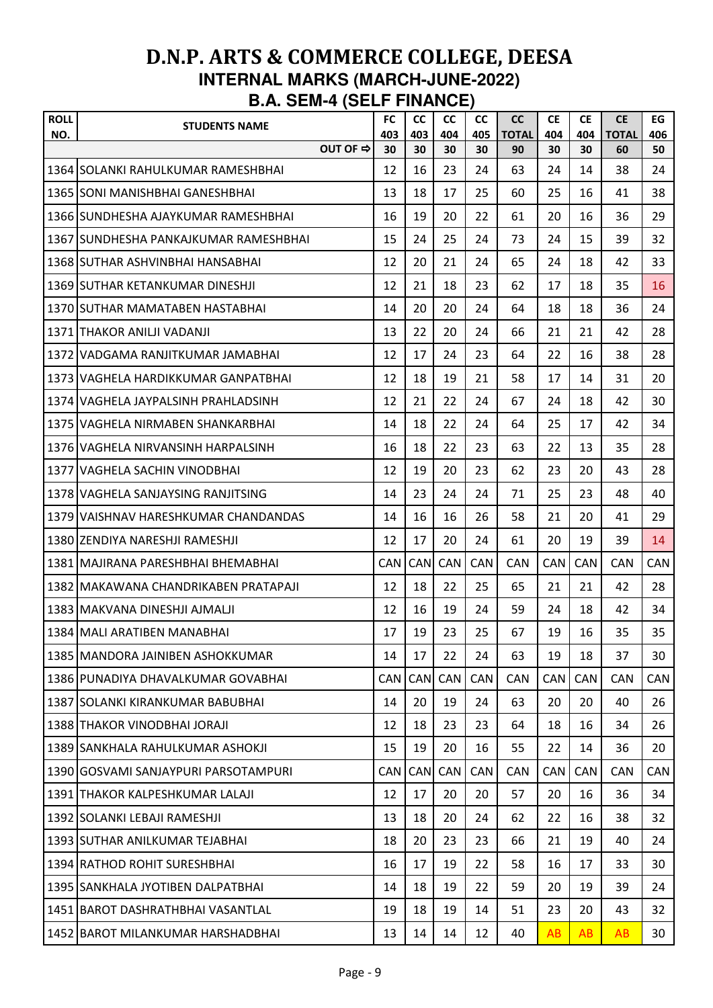| <b>ROLL</b><br>NO. | <b>STUDENTS NAME</b>                   |          | <b>FC</b><br>403 | <b>CC</b><br>403 | <b>CC</b><br>404 | <b>CC</b><br>405 | <b>CC</b><br><b>TOTAL</b> | <b>CE</b><br>404 | <b>CE</b><br>404 | <b>CE</b><br><b>TOTAL</b> | EG<br>406  |
|--------------------|----------------------------------------|----------|------------------|------------------|------------------|------------------|---------------------------|------------------|------------------|---------------------------|------------|
|                    |                                        | OUT OF ⇒ | 30               | 30               | 30               | 30               | 90                        | 30               | 30               | 60                        | 50         |
|                    | 1364 SOLANKI RAHULKUMAR RAMESHBHAI     |          | 12               | 16               | 23               | 24               | 63                        | 24               | 14               | 38                        | 24         |
|                    | 1365 SONI MANISHBHAI GANESHBHAI        |          | 13               | 18               | 17               | 25               | 60                        | 25               | 16               | 41                        | 38         |
|                    | 1366 ISUNDHESHA AJAYKUMAR RAMESHBHAI   |          | 16               | 19               | 20               | 22               | 61                        | 20               | 16               | 36                        | 29         |
|                    | 1367 ISUNDHESHA PANKAJKUMAR RAMESHBHAI |          | 15               | 24               | 25               | 24               | 73                        | 24               | 15               | 39                        | 32         |
|                    | 1368 SUTHAR ASHVINBHAI HANSABHAI       |          | 12               | 20               | 21               | 24               | 65                        | 24               | 18               | 42                        | 33         |
|                    | 1369 SUTHAR KETANKUMAR DINESHJI        |          | 12               | 21               | 18               | 23               | 62                        | 17               | 18               | 35                        | 16         |
|                    | 1370 SUTHAR MAMATABEN HASTABHAI        |          | 14               | 20               | 20               | 24               | 64                        | 18               | 18               | 36                        | 24         |
|                    | 1371 THAKOR ANILJI VADANJI             |          | 13               | 22               | 20               | 24               | 66                        | 21               | 21               | 42                        | 28         |
|                    | 1372 VADGAMA RANJITKUMAR JAMABHAI      |          | 12               | 17               | 24               | 23               | 64                        | 22               | 16               | 38                        | 28         |
|                    | 1373 VAGHELA HARDIKKUMAR GANPATBHAI    |          | 12               | 18               | 19               | 21               | 58                        | 17               | 14               | 31                        | 20         |
|                    | 1374 VAGHELA JAYPALSINH PRAHLADSINH    |          | 12               | 21               | 22               | 24               | 67                        | 24               | 18               | 42                        | 30         |
|                    | 1375 IVAGHELA NIRMABEN SHANKARBHAI     |          | 14               | 18               | 22               | 24               | 64                        | 25               | 17               | 42                        | 34         |
|                    | 1376 VAGHELA NIRVANSINH HARPALSINH     |          | 16               | 18               | 22               | 23               | 63                        | 22               | 13               | 35                        | 28         |
|                    | 1377 IVAGHELA SACHIN VINODBHAI         |          | 12               | 19               | 20               | 23               | 62                        | 23               | 20               | 43                        | 28         |
|                    | 1378 VAGHELA SANJAYSING RANJITSING     |          | 14               | 23               | 24               | 24               | 71                        | 25               | 23               | 48                        | 40         |
|                    | 1379 IVAISHNAV HARESHKUMAR CHANDANDAS  |          | 14               | 16               | 16               | 26               | 58                        | 21               | 20               | 41                        | 29         |
|                    | 1380 ZENDIYA NARESHJI RAMESHJI         |          | 12               | 17               | 20               | 24               | 61                        | 20               | 19               | 39                        | 14         |
|                    | 1381 MAJIRANA PARESHBHAI BHEMABHAI     |          | <b>CAN</b>       | <b>CAN</b>       | CAN              | CAN              | <b>CAN</b>                | <b>CAN</b>       | <b>CAN</b>       | <b>CAN</b>                | CAN        |
|                    | 1382   MAKAWANA CHANDRIKABEN PRATAPAJI |          | 12               | 18               | 22               | 25               | 65                        | 21               | 21               | 42                        | 28         |
|                    | 1383 MAKVANA DINESHJI AJMALJI          |          | 12               | 16               | 19               | 24               | 59                        | 24               | 18               | 42                        | 34         |
|                    | 1384 MALI ARATIBEN MANABHAI            |          | 17               | 19               | 23               | 25               | 67                        | 19               | 16               | 35                        | 35         |
|                    | 1385 MANDORA JAINIBEN ASHOKKUMAR       |          | 14               | 17               | 22               | 24               | 63                        | 19               | 18               | 37                        | 30         |
|                    | 1386 PUNADIYA DHAVALKUMAR GOVABHAI     |          | <b>CAN</b>       | CAN              | CAN              | <b>CAN</b>       | <b>CAN</b>                | <b>CAN</b>       | <b>CAN</b>       | <b>CAN</b>                | <b>CAN</b> |
|                    | 1387 SOLANKI KIRANKUMAR BABUBHAI       |          | 14               | 20               | 19               | 24               | 63                        | 20               | 20               | 40                        | 26         |
|                    | 1388 THAKOR VINODBHAI JORAJI           |          | 12               | 18               | 23               | 23               | 64                        | 18               | 16               | 34                        | 26         |
|                    | 1389 SANKHALA RAHULKUMAR ASHOKJI       |          | 15               | 19               | 20               | 16               | 55                        | 22               | 14               | 36                        | 20         |
|                    | 1390 GOSVAMI SANJAYPURI PARSOTAMPURI   |          | <b>CAN</b>       | <b>CAN</b>       | CAN              | CAN              | <b>CAN</b>                | <b>CAN</b>       | <b>CAN</b>       | <b>CAN</b>                | CAN        |
|                    | 1391 THAKOR KALPESHKUMAR LALAJI        |          | 12               | 17               | 20               | 20               | 57                        | 20               | 16               | 36                        | 34         |
|                    | 1392 SOLANKI LEBAJI RAMESHJI           |          | 13               | 18               | 20               | 24               | 62                        | 22               | 16               | 38                        | 32         |
|                    | 1393 SUTHAR ANILKUMAR TEJABHAI         |          | 18               | 20               | 23               | 23               | 66                        | 21               | 19               | 40                        | 24         |
|                    | 1394 RATHOD ROHIT SURESHBHAI           |          | 16               | 17               | 19               | 22               | 58                        | 16               | 17               | 33                        | 30         |
|                    | 1395 SANKHALA JYOTIBEN DALPATBHAI      |          | 14               | 18               | 19               | 22               | 59                        | 20               | 19               | 39                        | 24         |
|                    | 1451 BAROT DASHRATHBHAI VASANTLAL      |          | 19               | 18               | 19               | 14               | 51                        | 23               | 20               | 43                        | 32         |
|                    | 1452 BAROT MILANKUMAR HARSHADBHAI      |          | 13               | 14               | 14               | 12               | 40                        | AB               | <b>AB</b>        | AB                        | 30         |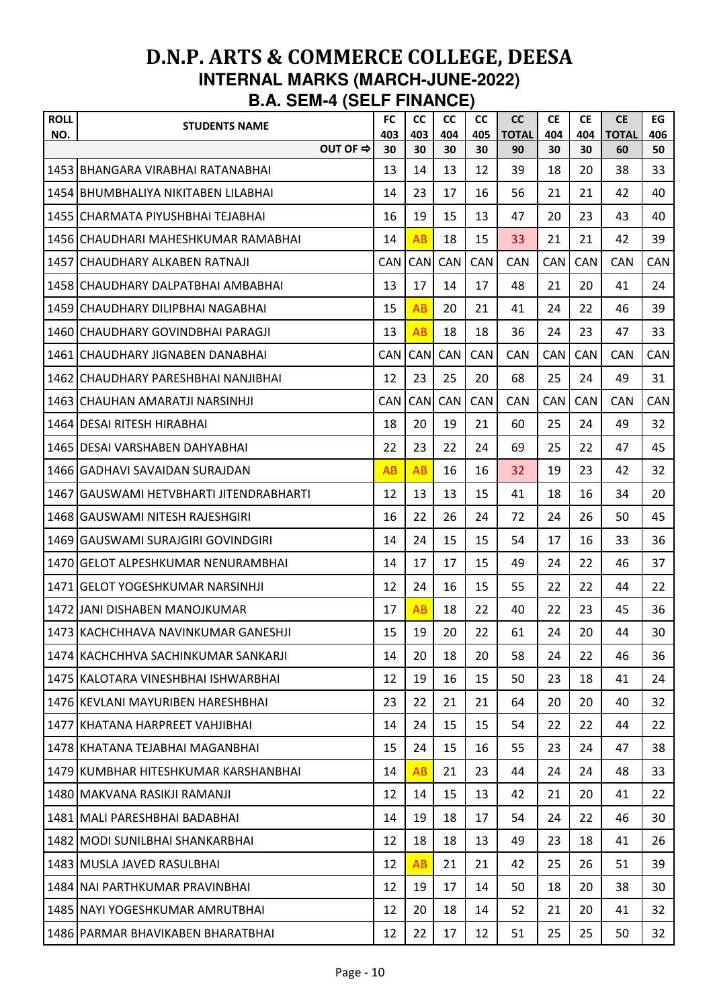| <b>ROLL</b><br>NO. | <b>STUDENTS NAME</b>                    | <b>FC</b><br>403 | cc<br>403  | <b>CC</b><br>404 | <b>CC</b><br>405 | <b>CC</b><br><b>TOTAL</b> | <b>CE</b><br>404 | <b>CE</b><br>404 | <b>CE</b><br><b>TOTAL</b> | EG<br>406 |
|--------------------|-----------------------------------------|------------------|------------|------------------|------------------|---------------------------|------------------|------------------|---------------------------|-----------|
|                    | OUT OF ⇒                                | 30               | 30         | 30               | 30               | 90                        | 30               | 30               | 60                        | 50        |
|                    | 1453 BHANGARA VIRABHAI RATANABHAI       | 13               | 14         | 13               | 12               | 39                        | 18               | 20               | 38                        | 33        |
|                    | 1454 BHUMBHALIYA NIKITABEN LILABHAI     | 14               | 23         | 17               | 16               | 56                        | 21               | 21               | 42                        | 40        |
|                    | 1455 ICHARMATA PIYUSHBHAI TEJABHAI      | 16               | 19         | 15               | 13               | 47                        | 20               | 23               | 43                        | 40        |
|                    | 1456 CHAUDHARI MAHESHKUMAR RAMABHAI     | 14               | AB         | 18               | 15               | 33                        | 21               | 21               | 42                        | 39        |
|                    | 1457 CHAUDHARY ALKABEN RATNAJI          | <b>CAN</b>       | CAN        | CAN              | <b>CAN</b>       | <b>CAN</b>                | <b>CAN</b>       | <b>CAN</b>       | <b>CAN</b>                | CAN       |
|                    | 1458 CHAUDHARY DALPATBHAI AMBABHAI      | 13               | 17         | 14               | 17               | 48                        | 21               | 20               | 41                        | 24        |
|                    | 1459 CHAUDHARY DILIPBHAI NAGABHAI       | 15               | AB         | 20               | 21               | 41                        | 24               | 22               | 46                        | 39        |
|                    | 1460 CHAUDHARY GOVINDBHAI PARAGJI       | 13               | AB         | 18               | 18               | 36                        | 24               | 23               | 47                        | 33        |
|                    | 1461 CHAUDHARY JIGNABEN DANABHAI        | <b>CAN</b>       | CAN        | CAN              | CAN              | <b>CAN</b>                | <b>CAN</b>       | <b>CAN</b>       | <b>CAN</b>                | CAN       |
|                    | 1462 CHAUDHARY PARESHBHAI NANJIBHAI     | 12               | 23         | 25               | 20               | 68                        | 25               | 24               | 49                        | 31        |
|                    | 1463 CHAUHAN AMARATJI NARSINHJI         | <b>CAN</b>       | <b>CAN</b> | CAN              | CAN              | <b>CAN</b>                | <b>CAN</b>       | <b>CAN</b>       | <b>CAN</b>                | CAN       |
|                    | 1464 DESAI RITESH HIRABHAI              | 18               | 20         | 19               | 21               | 60                        | 25               | 24               | 49                        | 32        |
|                    | 1465 IDESAI VARSHABEN DAHYABHAI         | 22               | 23         | 22               | 24               | 69                        | 25               | 22               | 47                        | 45        |
|                    | 1466 GADHAVI SAVAIDAN SURAJDAN          | AB               | AB         | 16               | 16               | 32                        | 19               | 23               | 42                        | 32        |
|                    | 1467 GAUSWAMI HETVBHARTI JITENDRABHARTI | 12               | 13         | 13               | 15               | 41                        | 18               | 16               | 34                        | 20        |
|                    | 1468 GAUSWAMI NITESH RAJESHGIRI         | 16               | 22         | 26               | 24               | 72                        | 24               | 26               | 50                        | 45        |
|                    | 1469 GAUSWAMI SURAJGIRI GOVINDGIRI      | 14               | 24         | 15               | 15               | 54                        | 17               | 16               | 33                        | 36        |
|                    | 1470 GELOT ALPESHKUMAR NENURAMBHAI      | 14               | 17         | 17               | 15               | 49                        | 24               | 22               | 46                        | 37        |
|                    | 1471 GELOT YOGESHKUMAR NARSINHJI        | 12               | 24         | 16               | 15               | 55                        | 22               | 22               | 44                        | 22        |
|                    | 1472 JJANI DISHABEN MANOJKUMAR          | 17               | AB         | 18               | 22               | 40                        | 22               | 23               | 45                        | 36        |
|                    | 1473 KACHCHHAVA NAVINKUMAR GANESHJI     | 15               | 19         | 20               | 22               | 61                        | 24               | 20               | 44                        | 30        |
|                    | 1474 KACHCHHVA SACHINKUMAR SANKARJI     | 14               | 20         | 18               | 20               | 58                        | 24               | 22               | 46                        | 36        |
|                    | 1475 KALOTARA VINESHBHAI ISHWARBHAI     | 12               | 19         | 16               | 15               | 50                        | 23               | 18               | 41                        | 24        |
|                    | 1476 KEVLANI MAYURIBEN HARESHBHAI       | 23               | 22         | 21               | 21               | 64                        | 20               | 20               | 40                        | 32        |
|                    | 1477 KHATANA HARPREET VAHJIBHAI         | 14               | 24         | 15               | 15               | 54                        | 22               | 22               | 44                        | 22        |
|                    | 1478 KHATANA TEJABHAI MAGANBHAI         | 15               | 24         | 15               | 16               | 55                        | 23               | 24               | 47                        | 38        |
|                    | 1479 KUMBHAR HITESHKUMAR KARSHANBHAI    | 14               | AB         | 21               | 23               | 44                        | 24               | 24               | 48                        | 33        |
|                    | 1480 MAKVANA RASIKJI RAMANJI            | 12               | 14         | 15               | 13               | 42                        | 21               | 20               | 41                        | 22        |
|                    | 1481   MALI PARESHBHAI BADABHAI         | 14               | 19         | 18               | 17               | 54                        | 24               | 22               | 46                        | 30        |
|                    | 1482 MODI SUNILBHAI SHANKARBHAI         | 12               | 18         | 18               | 13               | 49                        | 23               | 18               | 41                        | 26        |
|                    | 1483 MUSLA JAVED RASULBHAI              | 12               | AB         | 21               | 21               | 42                        | 25               | 26               | 51                        | 39        |
|                    | 1484 NAI PARTHKUMAR PRAVINBHAI          | 12               | 19         | 17               | 14               | 50                        | 18               | 20               | 38                        | 30        |
|                    | 1485 NAYI YOGESHKUMAR AMRUTBHAI         | 12               | 20         | 18               | 14               | 52                        | 21               | 20               | 41                        | 32        |
|                    | 1486 PARMAR BHAVIKABEN BHARATBHAI       | 12               | 22         | 17               | 12               | 51                        | 25               | 25               | 50                        | 32        |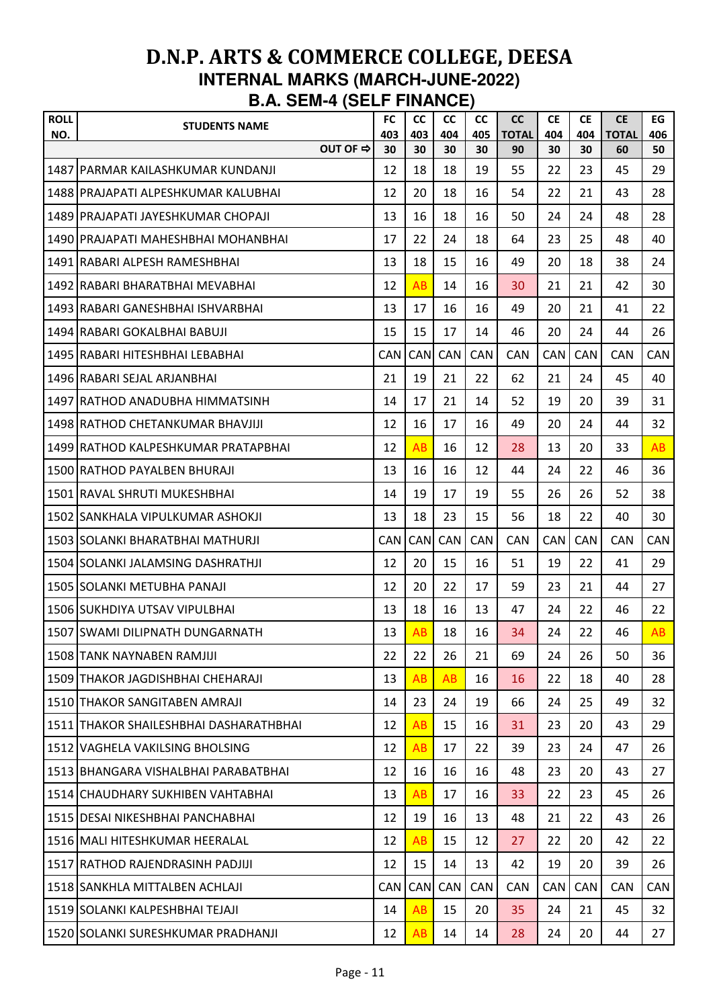| <b>ROLL</b> | <b>STUDENTS NAME</b>                     | <b>FC</b>  | cc         | <b>CC</b>  | <b>CC</b>  | cc                 | <b>CE</b>  | <b>CE</b>  | <b>CE</b>          | EG         |
|-------------|------------------------------------------|------------|------------|------------|------------|--------------------|------------|------------|--------------------|------------|
| NO.         | OUT OF ⇒                                 | 403<br>30  | 403<br>30  | 404<br>30  | 405<br>30  | <b>TOTAL</b><br>90 | 404<br>30  | 404<br>30  | <b>TOTAL</b><br>60 | 406<br>50  |
|             | 1487 PARMAR KAILASHKUMAR KUNDANJI        | 12         | 18         | 18         | 19         | 55                 | 22         | 23         | 45                 | 29         |
|             | 1488 PRAJAPATI ALPESHKUMAR KALUBHAI      | 12         | 20         | 18         | 16         | 54                 | 22         | 21         | 43                 | 28         |
|             | 1489 PRAJAPATI JAYESHKUMAR CHOPAJI       | 13         | 16         | 18         | 16         | 50                 | 24         | 24         | 48                 | 28         |
|             | 1490 PRAJAPATI MAHESHBHAI MOHANBHAI      | 17         | 22         | 24         | 18         | 64                 | 23         | 25         | 48                 | 40         |
|             | 1491 RABARI ALPESH RAMESHBHAI            | 13         | 18         | 15         | 16         | 49                 | 20         | 18         | 38                 | 24         |
|             | 1492 RABARI BHARATBHAI MEVABHAI          | 12         | AB         | 14         | 16         | 30                 | 21         | 21         | 42                 | 30         |
|             | 1493 RABARI GANESHBHAI ISHVARBHAI        | 13         | 17         | 16         | 16         | 49                 | 20         | 21         | 41                 | 22         |
|             | 1494 RABARI GOKALBHAI BABUJI             | 15         | 15         | 17         | 14         | 46                 | 20         | 24         | 44                 | 26         |
|             | 1495 RABARI HITESHBHAI LEBABHAI          | <b>CAN</b> | <b>CAN</b> | CAN        | <b>CAN</b> | CAN                | <b>CAN</b> | <b>CAN</b> | <b>CAN</b>         | <b>CAN</b> |
|             | 1496 RABARI SEJAL ARJANBHAI              | 21         | 19         | 21         | 22         | 62                 | 21         | 24         | 45                 | 40         |
|             | 1497 RATHOD ANADUBHA HIMMATSINH          | 14         | 17         | 21         | 14         | 52                 | 19         | 20         | 39                 | 31         |
|             | 1498 RATHOD CHETANKUMAR BHAVJIJI         | 12         | 16         | 17         | 16         | 49                 | 20         | 24         | 44                 | 32         |
|             | 1499 RATHOD KALPESHKUMAR PRATAPBHAI      | 12         | AB         | 16         | 12         | 28                 | 13         | 20         | 33                 | AB         |
|             | 1500 RATHOD PAYALBEN BHURAJI             | 13         | 16         | 16         | 12         | 44                 | 24         | 22         | 46                 | 36         |
|             | 1501 RAVAL SHRUTI MUKESHBHAI             | 14         | 19         | 17         | 19         | 55                 | 26         | 26         | 52                 | 38         |
|             | 1502 SANKHALA VIPULKUMAR ASHOKJI         | 13         | 18         | 23         | 15         | 56                 | 18         | 22         | 40                 | 30         |
|             | 1503 SOLANKI BHARATBHAI MATHURJI         | <b>CAN</b> | <b>CAN</b> | <b>CAN</b> | <b>CAN</b> | <b>CAN</b>         | <b>CAN</b> | <b>CAN</b> | <b>CAN</b>         | CAN        |
|             | 1504 SOLANKI JALAMSING DASHRATHJI        | 12         | 20         | 15         | 16         | 51                 | 19         | 22         | 41                 | 29         |
|             | 1505 SOLANKI METUBHA PANAJI              | 12         | 20         | 22         | 17         | 59                 | 23         | 21         | 44                 | 27         |
|             | 1506 SUKHDIYA UTSAV VIPULBHAI            | 13         | 18         | 16         | 13         | 47                 | 24         | 22         | 46                 | 22         |
|             | 1507 SWAMI DILIPNATH DUNGARNATH          | 13         | AB         | 18         | 16         | 34                 | 24         | 22         | 46                 | AB         |
|             | 1508 TANK NAYNABEN RAMJIJI               | 22         | 22         | 26         | 21         | 69                 | 24         | 26         | 50                 | 36         |
|             | 1509 THAKOR JAGDISHBHAI CHEHARAJI        | 13         | AB         | AB         | 16         | 16                 | 22         | 18         | 40                 | 28         |
|             | 1510 THAKOR SANGITABEN AMRAJI            | 14         | 23         | 24         | 19         | 66                 | 24         | 25         | 49                 | 32         |
|             | 1511   THAKOR SHAILESHBHAI DASHARATHBHAI | 12         | AB         | 15         | 16         | 31                 | 23         | 20         | 43                 | 29         |
|             | 1512 VAGHELA VAKILSING BHOLSING          | 12         | AB         | 17         | 22         | 39                 | 23         | 24         | 47                 | 26         |
|             | 1513   BHANGARA VISHALBHAI PARABATBHAI   | 12         | 16         | 16         | 16         | 48                 | 23         | 20         | 43                 | 27         |
|             | 1514 CHAUDHARY SUKHIBEN VAHTABHAI        | 13         | AB         | 17         | 16         | 33                 | 22         | 23         | 45                 | 26         |
|             | 1515 DESAI NIKESHBHAI PANCHABHAI         | 12         | 19         | 16         | 13         | 48                 | 21         | 22         | 43                 | 26         |
|             | 1516 MALI HITESHKUMAR HEERALAL           | 12         | AB         | 15         | 12         | 27                 | 22         | 20         | 42                 | 22         |
|             | 1517 RATHOD RAJENDRASINH PADJIJI         | 12         | 15         | 14         | 13         | 42                 | 19         | 20         | 39                 | 26         |
|             | 1518 SANKHLA MITTALBEN ACHLAJI           | <b>CAN</b> | <b>CAN</b> | CAN        | CAN        | CAN                | CAN        | <b>CAN</b> | <b>CAN</b>         | CAN        |
|             | 1519 SOLANKI KALPESHBHAI TEJAJI          | 14         | AB         | 15         | 20         | 35                 | 24         | 21         | 45                 | 32         |
|             | 1520 SOLANKI SURESHKUMAR PRADHANJI       | 12         | AB         | 14         | 14         | 28                 | 24         | 20         | 44                 | 27         |